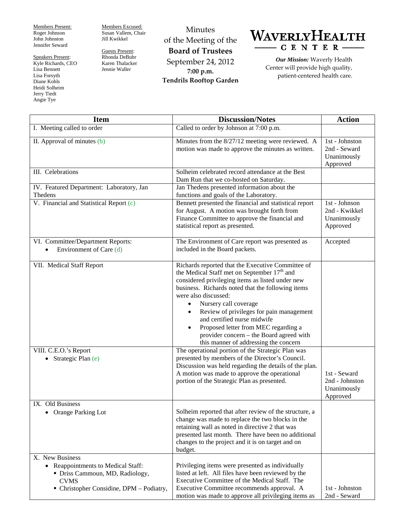Members Present: Roger Johnson John Johnston Jennifer Seward

Speakers Present: Kyle Richards, CEO Lisa Bennett Lisa Forsyth Diane Kohls Heidi Solheim Jerry Tiedt Angie Tye

Members Excused: Susan Vallem, Chair Jill Kwikkel

Guests Present: Rhonda DeBuhr Karen Thalacker Jennie Waller

Minutes of the Meeting of the **Board of Trustees** September 24, 2012 **7:00 p.m. Tendrils Rooftop Garden**



*Our Mission:* Waverly Health Center will provide high quality, patient-centered health care.

| <b>Item</b>                                                                                                                                         | <b>Discussion/Notes</b>                                                                                                                                                                                                                                                                                                                                                                                                                                                                                               | <b>Action</b>                                             |
|-----------------------------------------------------------------------------------------------------------------------------------------------------|-----------------------------------------------------------------------------------------------------------------------------------------------------------------------------------------------------------------------------------------------------------------------------------------------------------------------------------------------------------------------------------------------------------------------------------------------------------------------------------------------------------------------|-----------------------------------------------------------|
| I. Meeting called to order                                                                                                                          | Called to order by Johnson at 7:00 p.m.                                                                                                                                                                                                                                                                                                                                                                                                                                                                               |                                                           |
| II. Approval of minutes (b)                                                                                                                         | Minutes from the 8/27/12 meeting were reviewed. A<br>motion was made to approve the minutes as written.                                                                                                                                                                                                                                                                                                                                                                                                               | 1st - Johnston<br>2nd - Seward<br>Unanimously<br>Approved |
| III. Celebrations                                                                                                                                   | Solheim celebrated record attendance at the Best<br>Dam Run that we co-hosted on Saturday.                                                                                                                                                                                                                                                                                                                                                                                                                            |                                                           |
| IV. Featured Department: Laboratory, Jan<br>Thedens                                                                                                 | Jan Thedens presented information about the<br>functions and goals of the Laboratory.                                                                                                                                                                                                                                                                                                                                                                                                                                 |                                                           |
| V. Financial and Statistical Report (c)                                                                                                             | Bennett presented the financial and statistical report<br>for August. A motion was brought forth from<br>Finance Committee to approve the financial and<br>statistical report as presented.                                                                                                                                                                                                                                                                                                                           | 1st - Johnson<br>2nd - Kwikkel<br>Unanimously<br>Approved |
| VI. Committee/Department Reports:<br>Environment of Care (d)                                                                                        | The Environment of Care report was presented as<br>included in the Board packets.                                                                                                                                                                                                                                                                                                                                                                                                                                     | Accepted                                                  |
| VII. Medical Staff Report                                                                                                                           | Richards reported that the Executive Committee of<br>the Medical Staff met on September 17 <sup>th</sup> and<br>considered privileging items as listed under new<br>business. Richards noted that the following items<br>were also discussed:<br>Nursery call coverage<br>$\bullet$<br>Review of privileges for pain management<br>$\bullet$<br>and certified nurse midwife<br>Proposed letter from MEC regarding a<br>$\bullet$<br>provider concern – the Board agreed with<br>this manner of addressing the concern |                                                           |
| VIII. C.E.O.'s Report<br>• Strategic Plan (e)                                                                                                       | The operational portion of the Strategic Plan was<br>presented by members of the Director's Council.<br>Discussion was held regarding the details of the plan.<br>A motion was made to approve the operational<br>portion of the Strategic Plan as presented.                                                                                                                                                                                                                                                         | 1st - Seward<br>2nd - Johnston<br>Unanimously<br>Approved |
| IX. Old Business<br>Orange Parking Lot                                                                                                              | Solheim reported that after review of the structure, a<br>change was made to replace the two blocks in the<br>retaining wall as noted in directive 2 that was<br>presented last month. There have been no additional<br>changes to the project and it is on target and on<br>budget.                                                                                                                                                                                                                                  |                                                           |
| X. New Business<br>• Reappointments to Medical Staff:<br>• Driss Cammoun, MD, Radiology,<br><b>CVMS</b><br>• Christopher Considine, DPM - Podiatry, | Privileging items were presented as individually<br>listed at left. All files have been reviewed by the<br>Executive Committee of the Medical Staff. The<br>Executive Committee recommends approval. A<br>motion was made to approve all privileging items as                                                                                                                                                                                                                                                         | 1st - Johnston<br>2nd - Seward                            |